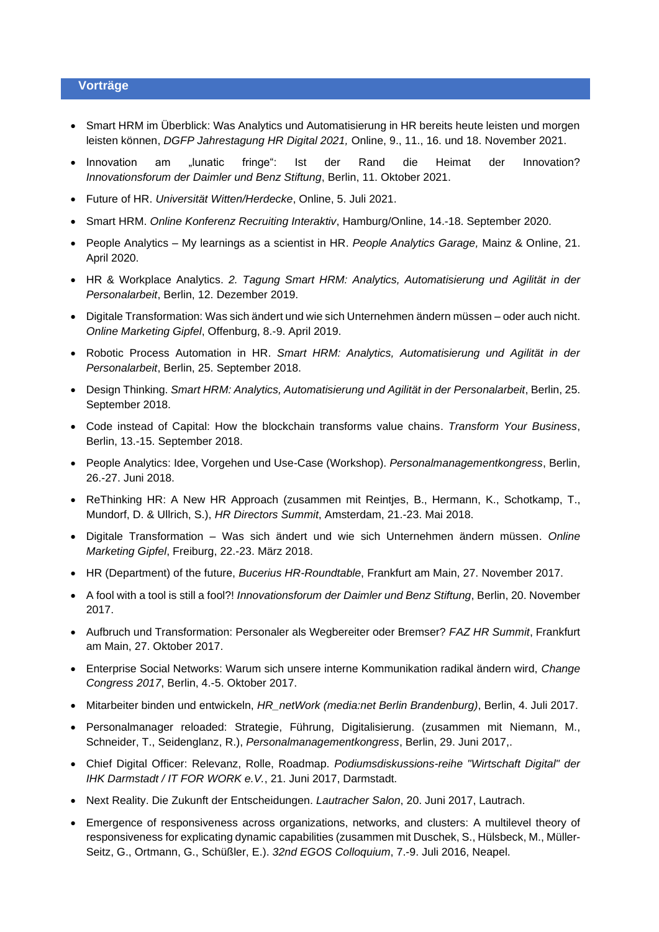## **Vorträge**

- Smart HRM im Überblick: Was Analytics und Automatisierung in HR bereits heute leisten und morgen leisten können, *DGFP Jahrestagung HR Digital 2021,* Online, 9., 11., 16. und 18. November 2021.
- Innovation am "lunatic fringe": Ist der Rand die Heimat der Innovation? *Innovationsforum der Daimler und Benz Stiftung*, Berlin, 11. Oktober 2021.
- Future of HR. *Universität Witten/Herdecke*, Online, 5. Juli 2021.
- Smart HRM. *Online Konferenz Recruiting Interaktiv*, Hamburg/Online, 14.-18. September 2020.
- People Analytics My learnings as a scientist in HR. *People Analytics Garage,* Mainz & Online, 21. April 2020.
- HR & Workplace Analytics. *2. Tagung Smart HRM: Analytics, Automatisierung und Agilität in der Personalarbeit*, Berlin, 12. Dezember 2019.
- Digitale Transformation: Was sich ändert und wie sich Unternehmen ändern müssen oder auch nicht. *Online Marketing Gipfel*, Offenburg, 8.-9. April 2019.
- Robotic Process Automation in HR. *Smart HRM: Analytics, Automatisierung und Agilität in der Personalarbeit*, Berlin, 25. September 2018.
- Design Thinking. *Smart HRM: Analytics, Automatisierung und Agilität in der Personalarbeit*, Berlin, 25. September 2018.
- Code instead of Capital: How the blockchain transforms value chains. *Transform Your Business*, Berlin, 13.-15. September 2018.
- People Analytics: Idee, Vorgehen und Use-Case (Workshop). *Personalmanagementkongress*, Berlin, 26.-27. Juni 2018.
- ReThinking HR: A New HR Approach (zusammen mit Reintjes, B., Hermann, K., Schotkamp, T., Mundorf, D. & Ullrich, S.), *HR Directors Summit*, Amsterdam, 21.-23. Mai 2018.
- Digitale Transformation Was sich ändert und wie sich Unternehmen ändern müssen. *Online Marketing Gipfel*, Freiburg, 22.-23. März 2018.
- HR (Department) of the future, *Bucerius HR-Roundtable*, Frankfurt am Main, 27. November 2017.
- A fool with a tool is still a fool?! *Innovationsforum der Daimler und Benz Stiftung*, Berlin, 20. November 2017.
- Aufbruch und Transformation: Personaler als Wegbereiter oder Bremser? *FAZ HR Summit*, Frankfurt am Main, 27. Oktober 2017.
- Enterprise Social Networks: Warum sich unsere interne Kommunikation radikal ändern wird, *Change Congress 2017*, Berlin, 4.-5. Oktober 2017.
- Mitarbeiter binden und entwickeln, *HR\_netWork (media:net Berlin Brandenburg)*, Berlin, 4. Juli 2017.
- Personalmanager reloaded: Strategie, Führung, Digitalisierung. (zusammen mit Niemann, M., Schneider, T., Seidenglanz, R.), *Personalmanagementkongress*, Berlin, 29. Juni 2017,.
- Chief Digital Officer: Relevanz, Rolle, Roadmap. *Podiumsdiskussions-reihe "Wirtschaft Digital" der IHK Darmstadt / IT FOR WORK e.V.*, 21. Juni 2017, Darmstadt.
- Next Reality. Die Zukunft der Entscheidungen. *Lautracher Salon*, 20. Juni 2017, Lautrach.
- Emergence of responsiveness across organizations, networks, and clusters: A multilevel theory of responsiveness for explicating dynamic capabilities (zusammen mit Duschek, S., Hülsbeck, M., Müller-Seitz, G., Ortmann, G., Schüßler, E.). *32nd EGOS Colloquium*, 7.-9. Juli 2016, Neapel.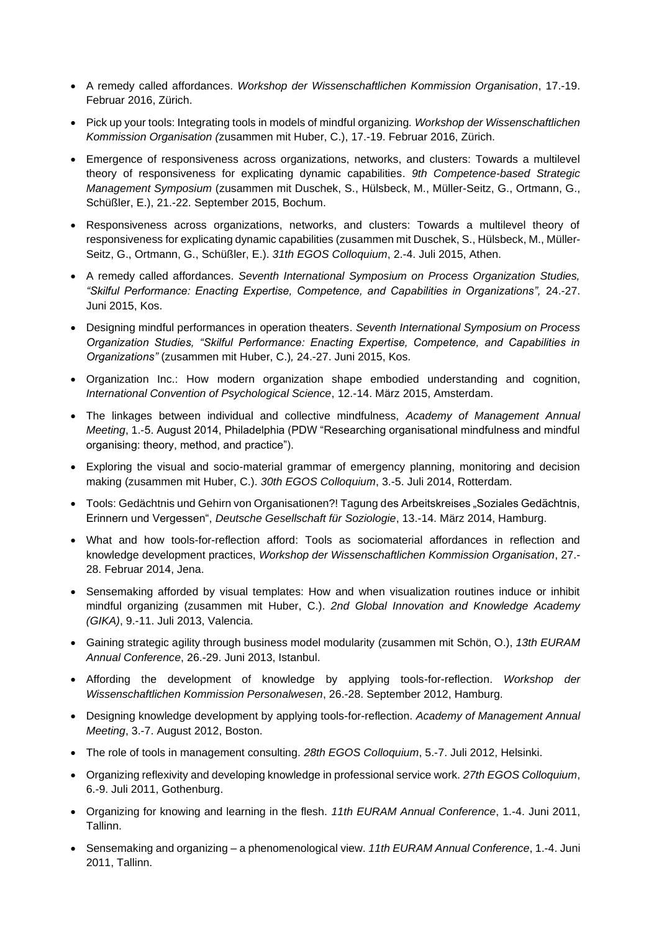- A remedy called affordances. *Workshop der Wissenschaftlichen Kommission Organisation*, 17.-19. Februar 2016, Zürich.
- Pick up your tools: Integrating tools in models of mindful organizing*. Workshop der Wissenschaftlichen Kommission Organisation (*zusammen mit Huber, C.), 17.-19. Februar 2016, Zürich.
- Emergence of responsiveness across organizations, networks, and clusters: Towards a multilevel theory of responsiveness for explicating dynamic capabilities. *9th Competence-based Strategic Management Symposium* (zusammen mit Duschek, S., Hülsbeck, M., Müller-Seitz, G., Ortmann, G., Schüßler, E.), 21.-22. September 2015, Bochum.
- Responsiveness across organizations, networks, and clusters: Towards a multilevel theory of responsiveness for explicating dynamic capabilities (zusammen mit Duschek, S., Hülsbeck, M., Müller-Seitz, G., Ortmann, G., Schüßler, E.). *31th EGOS Colloquium*, 2.-4. Juli 2015, Athen.
- A remedy called affordances. *Seventh International Symposium on Process Organization Studies, "Skilful Performance: Enacting Expertise, Competence, and Capabilities in Organizations",* 24.-27. Juni 2015, Kos.
- Designing mindful performances in operation theaters. *Seventh International Symposium on Process Organization Studies, "Skilful Performance: Enacting Expertise, Competence, and Capabilities in Organizations"* (zusammen mit Huber, C.)*,* 24.-27. Juni 2015, Kos.
- Organization Inc.: How modern organization shape embodied understanding and cognition, *International Convention of Psychological Science*, 12.-14. März 2015, Amsterdam.
- The linkages between individual and collective mindfulness, *Academy of Management Annual Meeting*, 1.-5. August 2014, Philadelphia (PDW "Researching organisational mindfulness and mindful organising: theory, method, and practice").
- Exploring the visual and socio-material grammar of emergency planning, monitoring and decision making (zusammen mit Huber, C.). *30th EGOS Colloquium*, 3.-5. Juli 2014, Rotterdam.
- Tools: Gedächtnis und Gehirn von Organisationen?! Tagung des Arbeitskreises "Soziales Gedächtnis, Erinnern und Vergessen", *Deutsche Gesellschaft für Soziologie*, 13.-14. März 2014, Hamburg.
- What and how tools-for-reflection afford: Tools as sociomaterial affordances in reflection and knowledge development practices, *Workshop der Wissenschaftlichen Kommission Organisation*, 27.- 28. Februar 2014, Jena.
- Sensemaking afforded by visual templates: How and when visualization routines induce or inhibit mindful organizing (zusammen mit Huber, C.). *2nd Global Innovation and Knowledge Academy (GIKA)*, 9.-11. Juli 2013, Valencia.
- Gaining strategic agility through business model modularity (zusammen mit Schön, O.), *13th EURAM Annual Conference*, 26.-29. Juni 2013, Istanbul.
- Affording the development of knowledge by applying tools-for-reflection. *Workshop der Wissenschaftlichen Kommission Personalwesen*, 26.-28. September 2012, Hamburg.
- Designing knowledge development by applying tools-for-reflection. *Academy of Management Annual Meeting*, 3.-7. August 2012, Boston.
- The role of tools in management consulting. *28th EGOS Colloquium*, 5.-7. Juli 2012, Helsinki.
- Organizing reflexivity and developing knowledge in professional service work. *27th EGOS Colloquium*, 6.-9. Juli 2011, Gothenburg.
- Organizing for knowing and learning in the flesh. *11th EURAM Annual Conference*, 1.-4. Juni 2011, Tallinn.
- Sensemaking and organizing a phenomenological view. *11th EURAM Annual Conference*, 1.-4. Juni 2011, Tallinn.